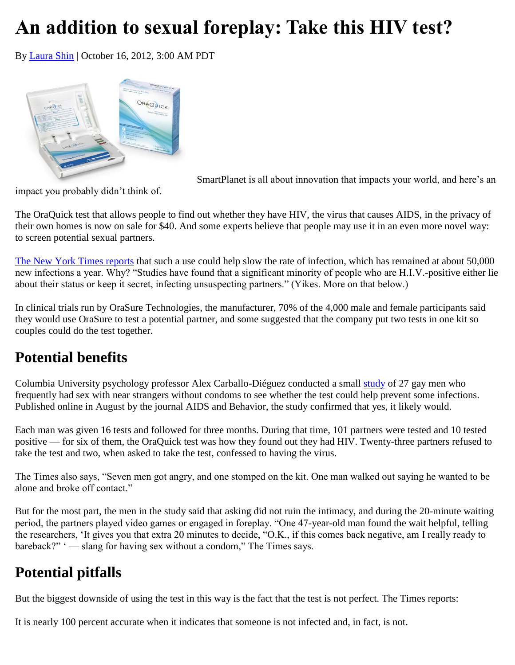## **An addition to sexual foreplay: Take this HIV test?**

By [Laura Shin](http://www.smartplanet.com/search?q=laura+shin) | October 16, 2012, 3:00 AM PDT



SmartPlanet is all about innovation that impacts your world, and here's an

impact you probably didn't think of.

The OraQuick test that allows people to find out whether they have HIV, the virus that causes AIDS, in the privacy of their own homes is now on sale for \$40. And some experts believe that people may use it in an even more novel way: to screen potential sexual partners.

[The New York Times reports](http://www.nytimes.com/2012/10/06/health/another-use-for-home-hiv-test-screening-partners.html?nl=todaysheadlines&emc=edit_th_20121006&_r=0&pagewanted=all) that such a use could help slow the rate of infection, which has remained at about 50,000 new infections a year. Why? "Studies have found that a significant minority of people who are H.I.V.-positive either lie about their status or keep it secret, infecting unsuspecting partners." (Yikes. More on that below.)

In clinical trials run by OraSure Technologies, the manufacturer, 70% of the 4,000 male and female participants said they would use OraSure to test a potential partner, and some suggested that the company put two tests in one kit so couples could do the test together.

## **Potential benefits**

Columbia University psychology professor Alex Carballo-Diéguez conducted a small [study](http://www.springerlink.com/content/704pn53543w70j14/) of 27 gay men who frequently had sex with near strangers without condoms to see whether the test could help prevent some infections. Published online in August by the journal AIDS and Behavior, the study confirmed that yes, it likely would.

Each man was given 16 tests and followed for three months. During that time, 101 partners were tested and 10 tested positive — for six of them, the OraQuick test was how they found out they had HIV. Twenty-three partners refused to take the test and two, when asked to take the test, confessed to having the virus.

The Times also says, "Seven men got angry, and one stomped on the kit. One man walked out saying he wanted to be alone and broke off contact."

But for the most part, the men in the study said that asking did not ruin the intimacy, and during the 20-minute waiting period, the partners played video games or engaged in foreplay. "One 47-year-old man found the wait helpful, telling the researchers, 'It gives you that extra 20 minutes to decide, "O.K., if this comes back negative, am I really ready to bareback?" ' — slang for having sex without a condom," The Times says.

## **Potential pitfalls**

But the biggest downside of using the test in this way is the fact that the test is not perfect. The Times reports:

It is nearly 100 percent accurate when it indicates that someone is not infected and, in fact, is not.